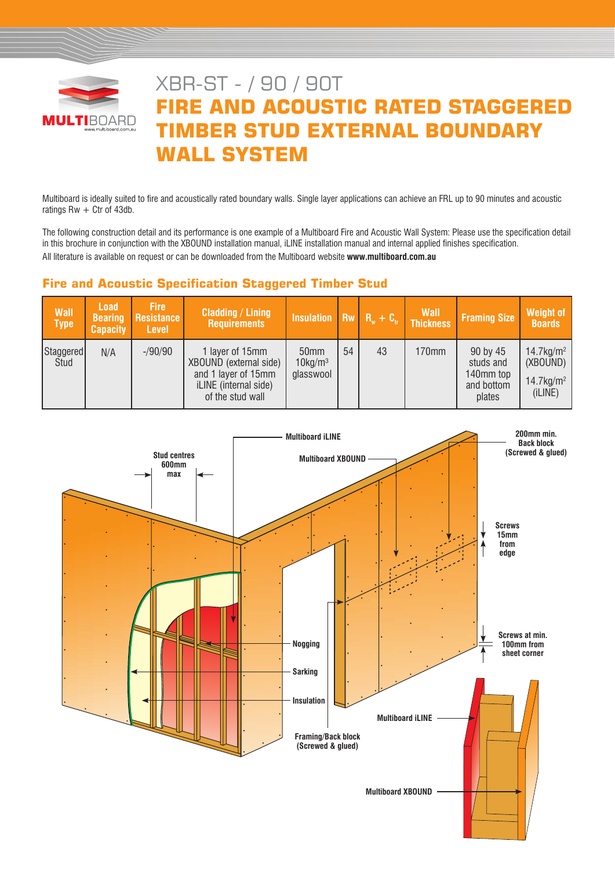

# XBR-ST - / 90 / 90T **FIRE AND ACOUSTIC RATED STAGGERED MBER STUD EXTERNAL BOUNDARY WALL SYSTEM**

Multiboard is ideally suited to fire and acoustically rated boundary walls. Single layer applications can achieve an FRL up to 90 minutes and acoustic ratings  $Rw + C$ tr of 43db.

The following construction detail and its performance is one example of a Multiboard Fire and Acoustic Wall System: Please use the specification detail in this brochure in conjunction with the XBOUND installation manual, iLINE installation manual and internal applied finishes specification. All literature is available on request or can be downloaded from the Multiboard website **www.multiboard.com.au**

# **Fire and Acoustic Specification Staggered Timber Stud**

| <b>Wall</b><br><b>Type</b> | <b>Load</b><br><b>Bearing</b><br><b>Capacity</b> | <b>Fire</b><br>Resistance<br><b>Level</b> | <b>Cladding / Lining</b><br><b>Requirements</b>                                                               | Insulation $\overline{R_w + C_w}$ Thickness             |    |    | <b>Wall</b> | <b>Framing Size</b>                                        | Weight of<br><b>Boards</b>                                                  |
|----------------------------|--------------------------------------------------|-------------------------------------------|---------------------------------------------------------------------------------------------------------------|---------------------------------------------------------|----|----|-------------|------------------------------------------------------------|-----------------------------------------------------------------------------|
| Staggered<br>Stud          | N/A                                              | $-90/90$                                  | 1 layer of 15mm<br>XBOUND (external side)<br>and 1 layer of 15mm<br>iLINE (internal side)<br>of the stud wall | 50 <sub>mm</sub><br>$10$ kg/m <sup>3</sup><br>glasswool | 54 | 43 | 170mm       | 90 by 45<br>studs and<br>140mm top<br>and bottom<br>plates | $14.7$ kg/m <sup>2</sup><br>(XBOUND)<br>$14.7$ kg/m <sup>2</sup><br>(iLINE) |